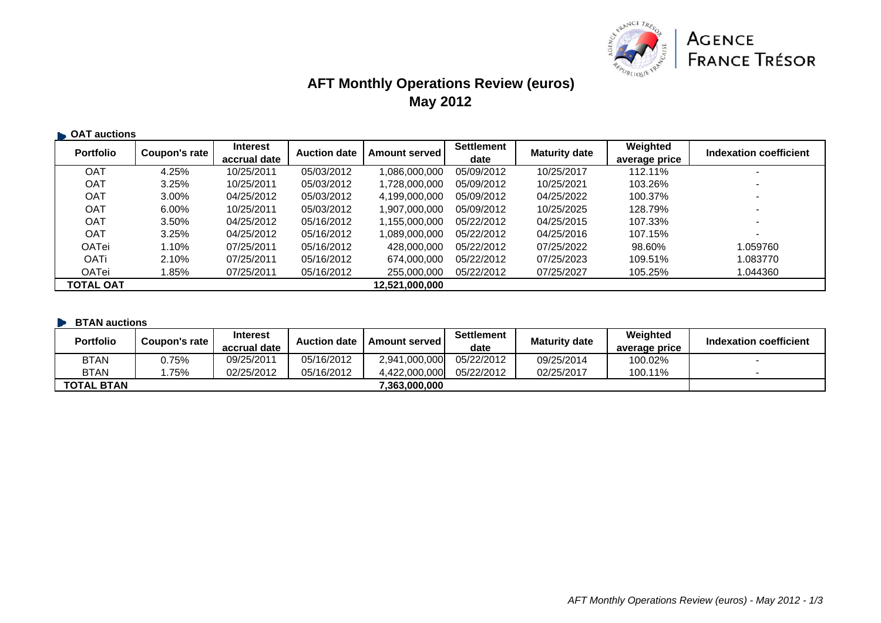

# **AFT Monthly Operations Review (euros) May 2012**

| <b>Portfolio</b> | Coupon's rate | <b>Interest</b> | <b>Auction date</b> | <b>Amount served</b> | Settlement | <b>Maturity date</b> | Weighted      | Indexation coefficient   |
|------------------|---------------|-----------------|---------------------|----------------------|------------|----------------------|---------------|--------------------------|
|                  |               | accrual date    |                     |                      | date       |                      | average price |                          |
| <b>OAT</b>       | 4.25%         | 10/25/2011      | 05/03/2012          | 1,086,000,000        | 05/09/2012 | 10/25/2017           | 112.11%       |                          |
| <b>OAT</b>       | 3.25%         | 10/25/2011      | 05/03/2012          | 1.728.000.000        | 05/09/2012 | 10/25/2021           | 103.26%       |                          |
| <b>OAT</b>       | 3.00%         | 04/25/2012      | 05/03/2012          | 4,199,000,000        | 05/09/2012 | 04/25/2022           | 100.37%       | $\overline{\phantom{0}}$ |
| <b>OAT</b>       | $6.00\%$      | 10/25/2011      | 05/03/2012          | 1,907,000,000        | 05/09/2012 | 10/25/2025           | 128.79%       | $\overline{\phantom{0}}$ |
| <b>OAT</b>       | 3.50%         | 04/25/2012      | 05/16/2012          | 1,155,000,000        | 05/22/2012 | 04/25/2015           | 107.33%       | $\overline{\phantom{0}}$ |
| <b>OAT</b>       | 3.25%         | 04/25/2012      | 05/16/2012          | 1.089.000.000        | 05/22/2012 | 04/25/2016           | 107.15%       | $\blacksquare$           |
| <b>OATei</b>     | 1.10%         | 07/25/2011      | 05/16/2012          | 428,000,000          | 05/22/2012 | 07/25/2022           | 98.60%        | 1.059760                 |
| OATi             | 2.10%         | 07/25/2011      | 05/16/2012          | 674,000,000          | 05/22/2012 | 07/25/2023           | 109.51%       | 1.083770                 |
| OATei            | 1.85%         | 07/25/2011      | 05/16/2012          | 255,000,000          | 05/22/2012 | 07/25/2027           | 105.25%       | 1.044360                 |
| TOTAL OAT        |               |                 |                     | 12,521,000,000       |            |                      |               |                          |

#### **BTAN auctions**

| <b>Portfolio</b>  | Coupon's rate | <b>Interest</b><br>accrual date | <b>Auction date</b> | <b>Amount served I</b> | <b>Settlement</b><br>date | <b>Maturity date</b> | Weighted<br>average price | Indexation coefficient |
|-------------------|---------------|---------------------------------|---------------------|------------------------|---------------------------|----------------------|---------------------------|------------------------|
| <b>BTAN</b>       | .75%          | 09/25/2011                      | 05/16/2012          | 2.941.000.000          | 05/22/2012                | 09/25/2014           | 100.02%                   |                        |
| <b>BTAN</b>       | 75%           | 02/25/2012                      | 05/16/2012          | 4.422.000.000          | 05/22/2012                | 02/25/2017           | 100.11%                   |                        |
| <b>TOTAL BTAN</b> |               |                                 |                     | 7.363.000.000          |                           |                      |                           |                        |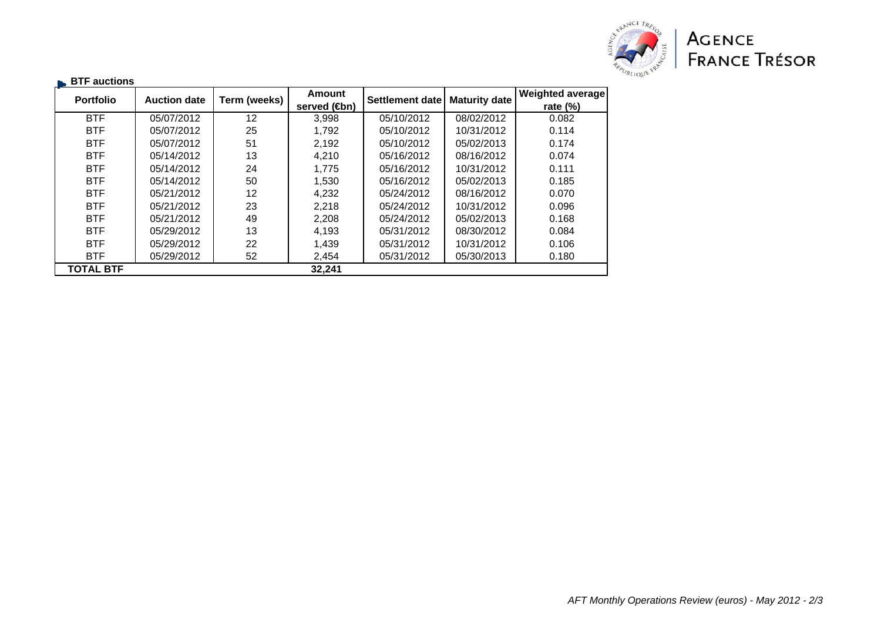

| $\blacksquare$ BTF auctions |                     | Term (weeks) | Amount                    | <b>Settlement date</b> | <b>Maturity date</b> | <b>Weighted average</b> |
|-----------------------------|---------------------|--------------|---------------------------|------------------------|----------------------|-------------------------|
| <b>Portfolio</b>            | <b>Auction date</b> |              | served ( <del>C</del> bn) |                        |                      | rate $(\%)$             |
| <b>BTF</b>                  | 05/07/2012          | 12           | 3,998                     | 05/10/2012             | 08/02/2012           | 0.082                   |
| <b>BTF</b>                  | 05/07/2012          | 25           | 1.792                     | 05/10/2012             | 10/31/2012           | 0.114                   |
| <b>BTF</b>                  | 05/07/2012          | 51           | 2,192                     | 05/10/2012             | 05/02/2013           | 0.174                   |
| <b>BTF</b>                  | 05/14/2012          | 13           | 4,210                     | 05/16/2012             | 08/16/2012           | 0.074                   |
| <b>BTF</b>                  | 05/14/2012          | 24           | 1.775                     | 05/16/2012             | 10/31/2012           | 0.111                   |
| <b>BTF</b>                  | 05/14/2012          | 50           | 1,530                     | 05/16/2012             | 05/02/2013           | 0.185                   |
| <b>BTF</b>                  | 05/21/2012          | 12           | 4.232                     | 05/24/2012             | 08/16/2012           | 0.070                   |
| <b>BTF</b>                  | 05/21/2012          | 23           | 2,218                     | 05/24/2012             | 10/31/2012           | 0.096                   |
| <b>BTF</b>                  | 05/21/2012          | 49           | 2,208                     | 05/24/2012             | 05/02/2013           | 0.168                   |
| <b>BTF</b>                  | 05/29/2012          | 13           | 4.193                     | 05/31/2012             | 08/30/2012           | 0.084                   |
| <b>BTF</b>                  | 05/29/2012          | 22           | 1,439                     | 05/31/2012             | 10/31/2012           | 0.106                   |
| <b>BTF</b>                  | 05/29/2012          | 52           | 2,454                     | 05/31/2012             | 05/30/2013           | 0.180                   |
| <b>TOTAL BTF</b>            |                     |              | 32,241                    |                        |                      |                         |